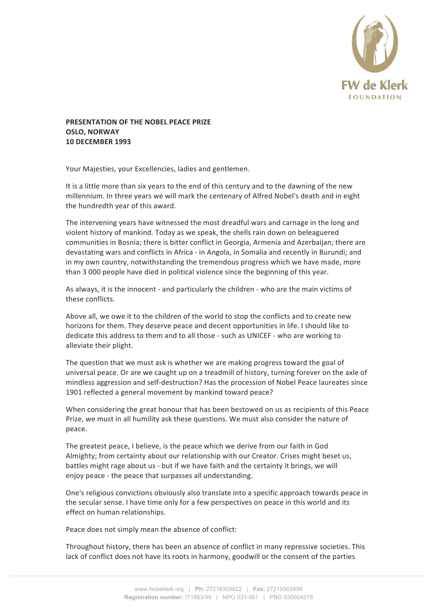

## **PRESENTATION OF THE NOBEL PEACE PRIZE OSLO, NORWAY 10 DECEMBER 1993**

Your Majesties, your Excellencies, ladies and gentlemen.

It is a little more than six years to the end of this century and to the dawning of the new millennium. In three years we will mark the centenary of Alfred Nobel's death and in eight the hundredth year of this award.

The intervening years have witnessed the most dreadful wars and carnage in the long and violent history of mankind. Today as we speak, the shells rain down on beleaguered communities in Bosnia; there is bitter conflict in Georgia, Armenia and Azerbaijan; there are devastating wars and conflicts in Africa - in Angola, in Somalia and recently in Burundi; and in my own country, notwithstanding the tremendous progress which we have made, more than 3 000 people have died in political violence since the beginning of this year.

As always, it is the innocent - and particularly the children - who are the main victims of these conflicts.

Above all, we owe it to the children of the world to stop the conflicts and to create new horizons for them. They deserve peace and decent opportunities in life. I should like to dedicate this address to them and to all those - such as UNICEF - who are working to alleviate their plight.

The question that we must ask is whether we are making progress toward the goal of universal peace. Or are we caught up on a treadmill of history, turning forever on the axle of mindless aggression and self-destruction? Has the procession of Nobel Peace laureates since 1901 reflected a general movement by mankind toward peace?

When considering the great honour that has been bestowed on us as recipients of this Peace Prize, we must in all humility ask these questions. We must also consider the nature of peace.

The greatest peace, I believe, is the peace which we derive from our faith in God Almighty; from certainty about our relationship with our Creator. Crises might beset us, battles might rage about us - but if we have faith and the certainty it brings, we will enjoy peace - the peace that surpasses all understanding.

One's religious convictions obviously also translate into a specific approach towards peace in the secular sense. I have time only for a few perspectives on peace in this world and its effect on human relationships.

Peace does not simply mean the absence of conflict:

Throughout history, there has been an absence of conflict in many repressive societies. This lack of conflict does not have its roots in harmony, goodwill or the consent of the parties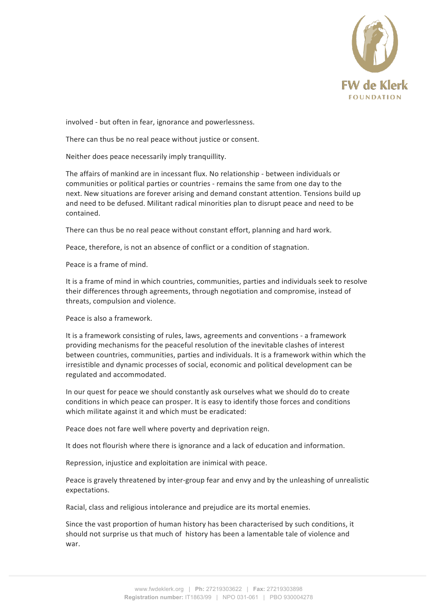

involved - but often in fear, ignorance and powerlessness.

There can thus be no real peace without justice or consent.

Neither does peace necessarily imply tranquillity.

The affairs of mankind are in incessant flux. No relationship - between individuals or communities or political parties or countries - remains the same from one day to the next. New situations are forever arising and demand constant attention. Tensions build up and need to be defused. Militant radical minorities plan to disrupt peace and need to be contained.

There can thus be no real peace without constant effort, planning and hard work.

Peace, therefore, is not an absence of conflict or a condition of stagnation.

Peace is a frame of mind.

It is a frame of mind in which countries, communities, parties and individuals seek to resolve their differences through agreements, through negotiation and compromise, instead of threats, compulsion and violence.

Peace is also a framework.

It is a framework consisting of rules, laws, agreements and conventions - a framework providing mechanisms for the peaceful resolution of the inevitable clashes of interest between countries, communities, parties and individuals. It is a framework within which the irresistible and dynamic processes of social, economic and political development can be regulated and accommodated.

In our quest for peace we should constantly ask ourselves what we should do to create conditions in which peace can prosper. It is easy to identify those forces and conditions which militate against it and which must be eradicated:

Peace does not fare well where poverty and deprivation reign.

It does not flourish where there is ignorance and a lack of education and information.

Repression, injustice and exploitation are inimical with peace.

Peace is gravely threatened by inter-group fear and envy and by the unleashing of unrealistic expectations.

Racial, class and religious intolerance and prejudice are its mortal enemies.

Since the vast proportion of human history has been characterised by such conditions, it should not surprise us that much of history has been a lamentable tale of violence and war.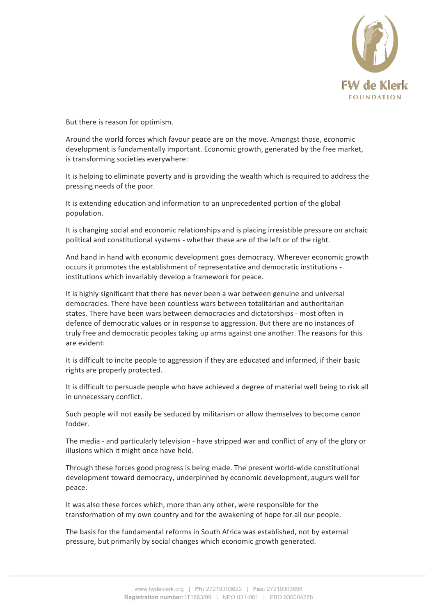

But there is reason for optimism.

Around the world forces which favour peace are on the move. Amongst those, economic development is fundamentally important. Economic growth, generated by the free market, is transforming societies everywhere:

It is helping to eliminate poverty and is providing the wealth which is required to address the pressing needs of the poor.

It is extending education and information to an unprecedented portion of the global population.

It is changing social and economic relationships and is placing irresistible pressure on archaic political and constitutional systems - whether these are of the left or of the right.

And hand in hand with economic development goes democracy. Wherever economic growth occurs it promotes the establishment of representative and democratic institutions institutions which invariably develop a framework for peace.

It is highly significant that there has never been a war between genuine and universal democracies. There have been countless wars between totalitarian and authoritarian states. There have been wars between democracies and dictatorships - most often in defence of democratic values or in response to aggression. But there are no instances of truly free and democratic peoples taking up arms against one another. The reasons for this are evident:

It is difficult to incite people to aggression if they are educated and informed, if their basic rights are properly protected.

It is difficult to persuade people who have achieved a degree of material well being to risk all in unnecessary conflict.

Such people will not easily be seduced by militarism or allow themselves to become canon fodder.

The media - and particularly television - have stripped war and conflict of any of the glory or illusions which it might once have held.

Through these forces good progress is being made. The present world-wide constitutional development toward democracy, underpinned by economic development, augurs well for peace.

It was also these forces which, more than any other, were responsible for the transformation of my own country and for the awakening of hope for all our people.

The basis for the fundamental reforms in South Africa was established, not by external pressure, but primarily by social changes which economic growth generated.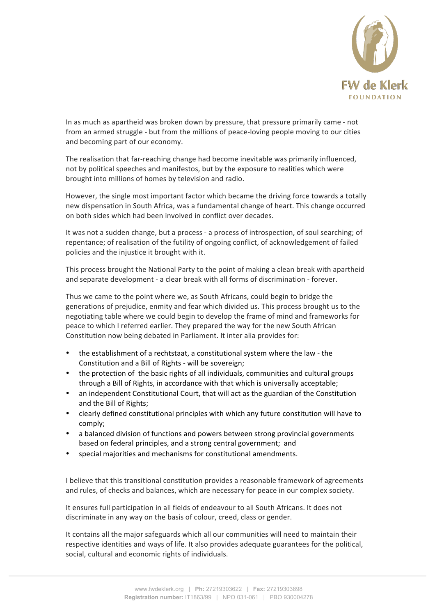

In as much as apartheid was broken down by pressure, that pressure primarily came - not from an armed struggle - but from the millions of peace-loving people moving to our cities and becoming part of our economy.

The realisation that far-reaching change had become inevitable was primarily influenced, not by political speeches and manifestos, but by the exposure to realities which were brought into millions of homes by television and radio.

However, the single most important factor which became the driving force towards a totally new dispensation in South Africa, was a fundamental change of heart. This change occurred on both sides which had been involved in conflict over decades.

It was not a sudden change, but a process - a process of introspection, of soul searching; of repentance; of realisation of the futility of ongoing conflict, of acknowledgement of failed policies and the injustice it brought with it.

This process brought the National Party to the point of making a clean break with apartheid and separate development - a clear break with all forms of discrimination - forever.

Thus we came to the point where we, as South Africans, could begin to bridge the generations of prejudice, enmity and fear which divided us. This process brought us to the negotiating table where we could begin to develop the frame of mind and frameworks for peace to which I referred earlier. They prepared the way for the new South African Constitution now being debated in Parliament. It inter alia provides for:

- the establishment of a rechtstaat, a constitutional system where the law the Constitution and a Bill of Rights - will be sovereign;
- the protection of the basic rights of all individuals, communities and cultural groups through a Bill of Rights, in accordance with that which is universally acceptable;
- an independent Constitutional Court, that will act as the guardian of the Constitution and the Bill of Rights;
- clearly defined constitutional principles with which any future constitution will have to comply;
- a balanced division of functions and powers between strong provincial governments based on federal principles, and a strong central government; and
- special majorities and mechanisms for constitutional amendments.

I believe that this transitional constitution provides a reasonable framework of agreements and rules, of checks and balances, which are necessary for peace in our complex society.

It ensures full participation in all fields of endeavour to all South Africans. It does not discriminate in any way on the basis of colour, creed, class or gender.

It contains all the major safeguards which all our communities will need to maintain their respective identities and ways of life. It also provides adequate guarantees for the political, social, cultural and economic rights of individuals.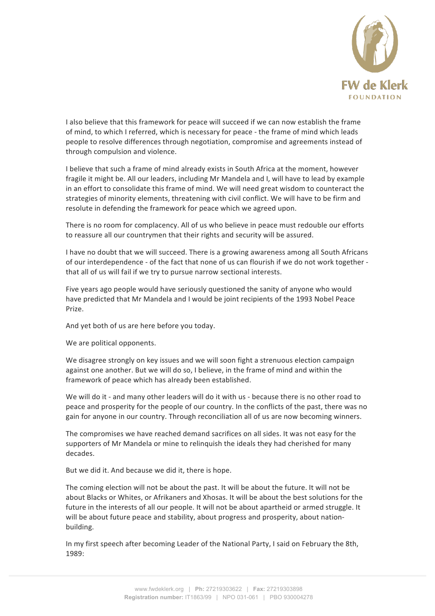

I also believe that this framework for peace will succeed if we can now establish the frame of mind, to which I referred, which is necessary for peace - the frame of mind which leads people to resolve differences through negotiation, compromise and agreements instead of through compulsion and violence.

I believe that such a frame of mind already exists in South Africa at the moment, however fragile it might be. All our leaders, including Mr Mandela and I, will have to lead by example in an effort to consolidate this frame of mind. We will need great wisdom to counteract the strategies of minority elements, threatening with civil conflict. We will have to be firm and resolute in defending the framework for peace which we agreed upon.

There is no room for complacency. All of us who believe in peace must redouble our efforts to reassure all our countrymen that their rights and security will be assured.

I have no doubt that we will succeed. There is a growing awareness among all South Africans of our interdependence - of the fact that none of us can flourish if we do not work together that all of us will fail if we try to pursue narrow sectional interests.

Five years ago people would have seriously questioned the sanity of anyone who would have predicted that Mr Mandela and I would be joint recipients of the 1993 Nobel Peace Prize. 

And yet both of us are here before you today.

We are political opponents.

We disagree strongly on key issues and we will soon fight a strenuous election campaign against one another. But we will do so, I believe, in the frame of mind and within the framework of peace which has already been established.

We will do it - and many other leaders will do it with us - because there is no other road to peace and prosperity for the people of our country. In the conflicts of the past, there was no gain for anyone in our country. Through reconciliation all of us are now becoming winners.

The compromises we have reached demand sacrifices on all sides. It was not easy for the supporters of Mr Mandela or mine to relinquish the ideals they had cherished for many decades.

But we did it. And because we did it, there is hope.

The coming election will not be about the past. It will be about the future. It will not be about Blacks or Whites, or Afrikaners and Xhosas. It will be about the best solutions for the future in the interests of all our people. It will not be about apartheid or armed struggle. It will be about future peace and stability, about progress and prosperity, about nationbuilding.

In my first speech after becoming Leader of the National Party, I said on February the 8th, 1989: